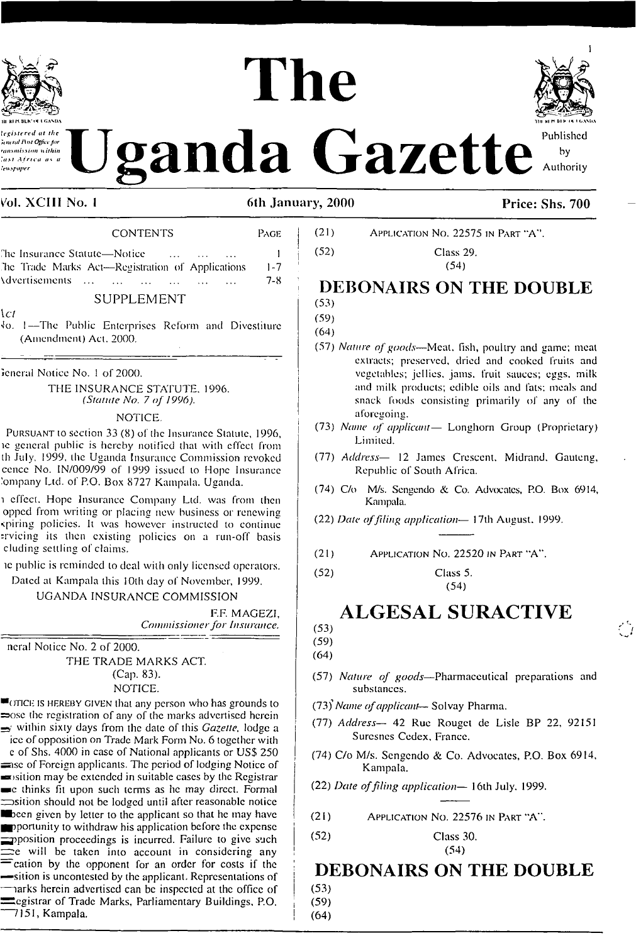

**Explorated at the Ugandal of the Published** 

# The **>11 KI H BLK <M \* CAM>A Dll kl n bl <sup>X</sup> <K <sup>I</sup>**



Authority

### Vol. XCIII No. 1

### 6th January, 2000 Price: Shs. 700

| <b>CUNTENTS</b>                                  | raue -  |
|--------------------------------------------------|---------|
| The Insurance Statute—Notice —                   |         |
| The Trade Marks Act—Registration of Applications | $1 - 7$ |
| Advertisements                                   | 7-8.    |

 $COMPTNTPC$  Page  $P_{C}$ 

### SUPPLEMENT

*\cl*

'Io. 1—The Public Enterprises Reform and Divestiture (Amendment) Act. 2000.

icncral Notice No. <sup>1</sup> of 2000.

THE INSURANCE STATUTE. 1996. *(Statute No. 7 of 1996).*

#### NOTICE.

Pursuant io section 33 (8) of the Insurance Statute, 1996, ic general public is hereby notified that with effect from th July. 1999, the Uganda Insurance Commission revoked cencc No. IN/009/99 of 1999 issued to Hope Insurance 'onipany Ltd. of P.O. Box 8727 Kampala. Uganda.

i effect. Hope Insurance Company Ltd. was from then opped from writing or placing new business or renewing spiring policies. Il was however instructed to continue :rvicing its then existing policies on a run-off basis eluding settling of claims.

ic public is reminded to deal with only licensed operators.

Dated al Kampala this 10th day of November, 1999.

UGANDA INSURANCE COMMISSION

EF. MAGEZI, *Commissionerfor insurance.*

neral Notice No. 2 of 2000. THE TRADE MARKS ACT. (Cap. 83). NOTICE.

■otjce is hereby given that any person who has grounds to sose the registration of any of the marks advertised herein  $\Rightarrow$  within sixty days from the date of this *Gazette*, lodge a ice of opposition on Trade Mark Form No. 6 together with

e of Shs. 4000 in case of National applicants or USS 250 simesof Foreign applicants. The period of lodging Notice of  $\equiv$  sition may be extended in suitable cases by the Registrar ■c thinks fit upon such terms as he may direct. Formal  $\equiv$ sition should not be lodged until after reasonable notice ■ been given by letter to the applicant so that he may have Importunity to withdraw his application before the expense pposition proceedings is incurred. Failure to give such  $\equiv$ e will be taken into account in considering any — cation by the opponent for an order for costs if the —silion is uncontested by the applicant. Representations of harks herein advertised can be inspected at the office of Legistrar of Trade Marks, Parliamentary Buildings, P.O. 7151, Kampala.

| (21)<br>APPLICATION NO. 22575 IN PART "A". |
|--------------------------------------------|
|--------------------------------------------|

<sup>j</sup> (52) Class 29.  $(54)$ 

### **DEBONAIRS ON THE DOUBLE** (53)

- (59)
- (64)
- (57) *Nature ofgoods—*Meat, fish, poultry and game: meal extracts; preserved, dried and cooked fruits and vegetables; jellies, jams, fruit sauces; eggs, milk and milk products; edible oils and fats; meals and snack foods consisting primarily of any of the aforegoing.
- <sup>I</sup> (73) *Name of applicant—* Longhorn Group (Proprietary) Limited.
- (77) *Address—* 12 James Crescent, Midrand. Gauteng, Republic of South Africa.
- (74) C/o M/s. Sengendo & Co. Advocates, P.O. Box 6914, Kampala.
- (22) *Dale offiling application—* 17th August. 1999.
- (21) Application No. 22520 in Part "A'.\*
- (52) Class 5. (54)

# **ALGESAL SURACTIVE**

(53)

(59) (64)

- (57) *Nature of goods—*Pharmaceutical preparations and substances.
- (73j\* *Name ofapplicant-* Solvay Pharma.
- (77) *Address—* 42 Rue Rouget de Lisle BP 22, 92151 Surcsnes Cedex. France.
- (74) C/o M/s. Scngendo & Co. Advocates, P.O. Box 6914, Kampala.

(22) *Date offiling application—* 16th July. 1999.

- (21) Application No. 22576 in Part "A".
- <sup>|</sup> (52) Class 30.  $\left(54\right)$

# **<sup>i</sup> DEBONAIRS ON THE DOUBLE**

 $(53)$ <sup>i</sup> (59)

 $(64)$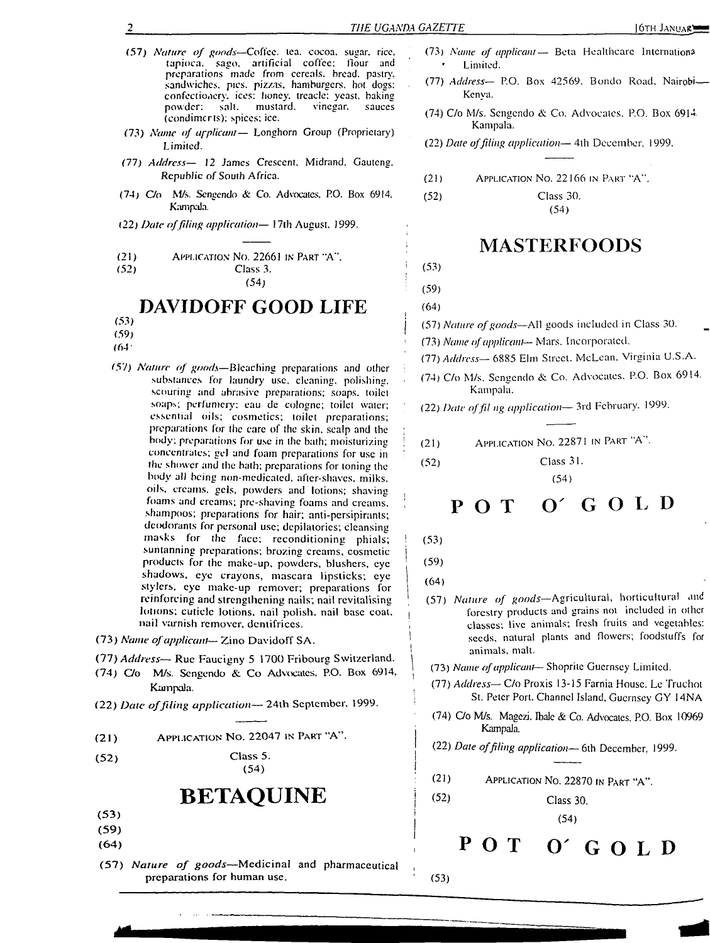- (57) *Nature of goods—*Coffee, lea. cocoa. sugar, rice, artificial coffee: flour and preparations made from cereals, bread, pastry, sandwiches, pies, pizzas, hamburgers, hot dogs: confectionery, ices: honey, treacle: yeast, baking salt. mustard. vinegar. sauces (condiments); spices: ice.
- (73) *Name of applicant—* Longhorn Group (Proprietary) Limited.
- (77) *Address— 12 James Crescent,* Midrand, Gauteng. *Republic of* South Africa.
- (74) C/o M/s. *Scngendo* & Co. Advocates. PO. Box 6914. Kampala.
- (22) *Date offiling application—* 17lh August. J999.
- (21) APPLICATION NO. 22661 in Part "A".<br>(52) Class 3.

Class 3. (54)

### **DAVIDOFF GOOD LIFE**

(53) (59)

- (64'
- (57) *Nature of goods—*Bleaching preparations and other substances for laundry use. cleaning, polishing, scouring and abrasive preparations; soaps, toilet soaps; perfumery; eau de cologne; toilet water; essential oils; cosmetics; toilet preparations; preparations for the care of the skin, scalp and the body; preparations for use in the bath; moisturizing concentrates; gel and foam preparations for use in the shower and the bath; preparations for toning the body all being non-medicatcd. after-shaves, milks, oils, creams, gels, powders and lotions; shaving foams and creams; pre-shaving foams and creams, shampoos; preparations for hair; anti-persipirants; deodorants for personal use; depilatories; cleansing masks for the face; reconditioning phials; suntanning preparations; brozing creams, cosmetic products for (he make-up, powders, blushers, eye shadows, eye crayons, mascara lipsticks; eye slylers, eye make-up remover; preparations for reinforcing and strengthening nails; nail revitalising lotions; cuticle lotions, nail polish, nail base coat, nail varnish remover, dentifrices.
- (73) *Name ofapplicant—* Zino Davidoff SA.
- (77) *Address—* Rue Faucigny 5 1700 Fribourg Switzerland.
- (74) C/o M/s. Scngendo &. Co Advocates, P.O. Box 6914, Kampala.
- (22) *Date offiling application—*24th September, 1999.
- (21) Application No. 22047 in Part 'A\* '.
- (52) Class 5. (54)

### **BETAQUINE**

- (53)
- (59)
- (64)
- (57) *Nature of goods—*Medicinal and pharmaceutical preparations for human use.
- (73) *Name of applicant—* Beta Healthcare Intcrnationa Limited.
- (77) *Address—* P.O. Box 42569. Bondo Road. Nairobi— Kenya.
- (74) C/o M/s. Scngendo & Co. Advocates. P.O. Box 6914 Kampala.
- (22) *Date offiling application—* 4th December. 1999.
- $(21)$  Application No. 22166 in Part "A".

(52) Class 30.

(54)

### **MASTERFOODS**

### $(53)$ (59)

(64)

<sup>j</sup> (57) *Nature ofgoods—*All goods included in Class 30.

(73) *Name ofapplicant—* Mars. Incorporated.

(77) *Address—* 6885 Elm Street. McLean. Virginia U.S.A.

- (74) C/o M/s. Scngendo & Co. Advocates. P.O. Box 6914. Kampala.
- (22) *Date offil ng application—* 3rd February. 1999.
- ; (21) Application No. 22871 in Part "A (52) Class 31.

(54)

# **POT O' <sup>G</sup> <sup>O</sup> <sup>L</sup> <sup>D</sup>**

 $(53)$ 

: (59)

| (64)

'

 (57) *Nature of goods—*Agricultural, horticultural and forestry products and grains not included in other , classes; live animals; fresh fruits and vegetables: seeds, natural plants and flowers; foodstuffs for animals, mall.

<sup>I</sup> (73) *Name ofapplicant—* Shopritc Guernsey Limited.

- (77) *Address—* C/o Proxis 13-15 Farnia House. Lc Truchot St. Peter Port. Channel Island, Guernsey GY 14NA
- (74) C/o M/s. Magezi, Ibale & Co. Advocates. P.O. Box 10969 Kampala.
- (22) *Date offiling application* 6lh December, 1999.
- (21) Application No. 22870 in <sup>P</sup>art "A".

 $(52)$  Class 30.

 $(54)$ 

- **! POT O' GOLD**
- $(53)$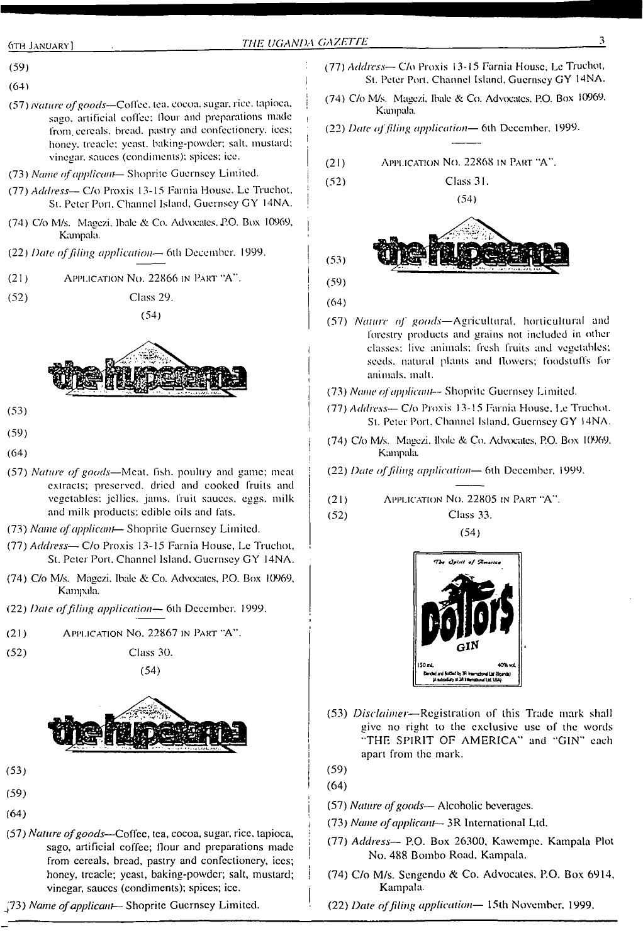- (59)
- $(64)$
- (57) *nature ofgoods—*Coffee, tea. cocoa, sugar, rice, tapioca. <sup>I</sup> sago, artificial coffee: flour and preparations made from, cereals, bread, pastry and confectionery, ices; honey, treacle: yeast, baking-powder; salt, mustard; ) vinegar, sauces (condiments); spices; ice.
- (73) *Name ofapplicant* Shopritc Guernsey Limited. <sup>|</sup>
- (77) *Address—* C/o Proxis 13-15 Farnia House. Lc Truchot. \* St. Peter Port. Channel Island, Guernsey GY 14NA.
- (74) C/o M/s. Magezi, Ibale & Co. Advocates. P.O. Box 10969. <sup>j</sup> Kampala.
- (22) *Dale offiling application—* 6lh December. 1999. <sup>|</sup>
- $(21)$  Application No. 22866 in Part "A".

(52) Class 29.





- $(53)$
- (59)
- $(64)$
- (57) *Nature of goods*—Meat. fish. poultry and game; meat extracts; preserved, dried and cooked fruits and vegetables: jellies, jams, fruit sauces, eggs, milk and milk products: edible oils and fats.
- (73) *Name ofapplicant* Shoprile Guernsey Limited.
- (77) *Address—* C/o Proxis 13-15 Farnia House, Lc Truchot, St. Peter Port. Channel Island. Guernsey GY 14NA.
- (74) C/o M/s. Magezi. Ibale & Co. Advocates, P.O. Box 10969, Kampala.
- (22) *Date offiling application—* 6lh December, 1999.
- (21) Application No. 22867 in Part "A".
- (52) Class 30.

(54)



- (53)
- (59)
- (64)
- (57) *Nature ofgoods—*Coffee, tea, cocoa, sugar, rice, tapioca, sago, artificial coffee; flour and preparations made from cereals, bread, pastry and confectionery, ices; honey, treacle; yeast, baking-powder; salt, mustard; vinegar, sauces (condiments); spices; ice.
- J73) *Name ofapplicant—* Shopritc Guernsey Limited.
- (77) *Address—* C/o Proxis 13-15 Farnia House, Lc Truchot, St. Peter Port. Channel Island. Guernsey GY 14NA.
- (74) C/o M/s. Magezi. Ibale & Co. Advocates, P.O. Box 10969. Kampala.
- (22) *Date offiling application—* 6lh December. 1999.
- (21) Application No. 22868 in Part "A".
- $(52)$ Class 31.
- (54)  $(53)$  $(59)$
- $(64)$
- (57) *Nature of goads—*Agricultural, horticultural and forestry products and grains not included in other classes: live animals; fresh fruits and vegetables; seeds, natural plants and Howers; foodstuffs for animals, mall.
- (73) *Name ofapplicant—* Shoprile Guernsey Limited.
- (77) *Address* C/o Proxis 13-15 Farnia House, Le Truchot. St. Peter Port. Channel Island, Guernsey GY 14NA.
- (74) C/o M/s. Magezi. Ibale & Co. Advocates, P.O. Box 10969. Kampala.
- (22) *Date offiling application—* 6th December, 1999.
- (21) Application No. 22805 in Part "A".
- (52) Class 33.

(54)



- (53) *Disclaimer—*Registration of this Trade mark shall give no right to the exclusive use of the words "THE SPIRIT OF AMERICA'' and "GIN" each apart from the mark.
- (59)

i

I

- (64)
- (57) *Nature ofgoods—* Alcoholic beverages.
- (73) *Name ofapplicant—* 3R International Ltd.
- (77) *Address—* P.O. Box 26300, Kawempc. Kampala Plot No. 488 Bombo Road. Kampala.
- (74) C/o M/s. Sengcndo & Co. Advocates. P.O. Box 6914, Kampala.
- (22) *Date offiling application—* 15th November. 1999.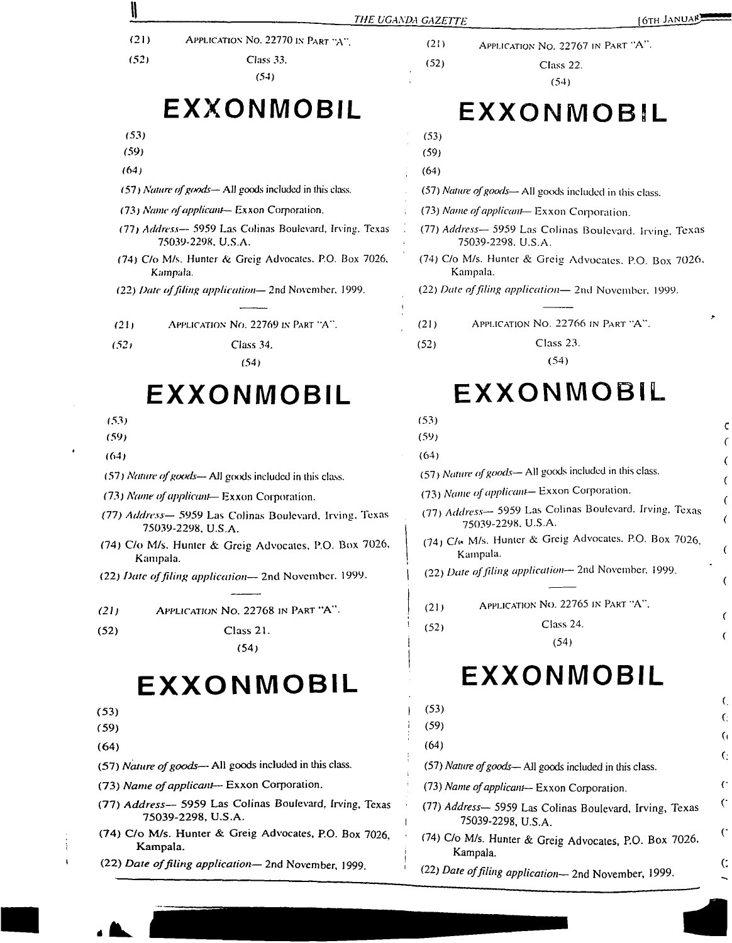|                                            |                                                                               | THE UGANDA GAZETTE | [6TH JANUAR]                                                                  |                |
|--------------------------------------------|-------------------------------------------------------------------------------|--------------------|-------------------------------------------------------------------------------|----------------|
| (21)<br>(52)                               | APPLICATION NO. 22770 IN PART "A".<br>Class 33.<br>(54)                       | (2!)<br>(52)       | APPLICATION NO. 22767 IN PART "A".<br>Class 22.<br>(54)                       |                |
|                                            | EXXONMOBIL                                                                    |                    | EXXONMOBIL                                                                    |                |
| (53)                                       |                                                                               | (53)               |                                                                               |                |
| (59)                                       |                                                                               | (59)               |                                                                               |                |
| (64)                                       |                                                                               | (64)               |                                                                               |                |
|                                            | (57) Nature of goods—All goods included in this class.                        |                    | (57) Nature of goods— All goods included in this class.                       |                |
| (73) Name of applicant-Exxon Corporation.  |                                                                               |                    | (73) Name of applicant-Exxon Corporation.                                     |                |
|                                            | (77) Address- 5959 Las Colinas Boulevard, Irving, Texas<br>75039-2298, U.S.A. |                    | (77) Address- 5959 Las Colinas Boulevard, Irving, Texas<br>75039-2298, U.S.A. |                |
|                                            | (74) C/o M/s. Hunter & Greig Advocates. P.O. Box 7026,<br>Kampala.            |                    | (74) C/o M/s. Hunter & Greig Advocates, P.O. Box 7026,<br>Kampala.            |                |
|                                            | (22) Date of filing application-2nd November, 1999.                           |                    | (22) Date of filing application-2nd November, 1999.                           |                |
| (21)                                       | APPLICATION NO. 22769 IN PART "A".                                            | (21)               | APPLICATION NO. 22766 IN PART "A".                                            | ٠              |
| (52)                                       | Class 34.                                                                     | (52)               | Class 23.                                                                     |                |
|                                            | (54)                                                                          |                    | (54)                                                                          |                |
|                                            | EXXONMOBIL                                                                    |                    | EXXONMOBIL                                                                    |                |
| (53)                                       |                                                                               | (53)               |                                                                               |                |
| (59)                                       |                                                                               | (59)               |                                                                               | c              |
| (64)                                       |                                                                               | (64)               |                                                                               |                |
|                                            | (57) Nature of goods— All goods included in this class.                       |                    | (57) Nature of goods-All goods included in this class.                        | (              |
|                                            | (73) Name of applicant-Exxon Corporation.                                     |                    | (73) Name of applicant-Exxon Corporation.                                     |                |
|                                            | (77) Address- 5959 Las Colinas Boulevard, Irving, Texas<br>75039-2298, U.S.A. |                    | (77) Address- 5959 Las Colinas Boulevard. Irving, Texas<br>75039-2298, U.S.A. |                |
| Kampala.                                   | (74) C/o M/s. Hunter & Greig Advocates, P.O. Box 7026,                        |                    | (74) C/« M/s. Hunter & Greig Advocates, P.O. Box 7026,<br>Kampala.            |                |
|                                            | (22) Date of filing application-2nd November. 1999.                           |                    | (22) Date of filing application-2nd November, 1999.                           |                |
| (21)                                       | APPLICATION No. 22768 IN PART "A".                                            | (21)               | APPLICATION NO. 22765 IN PART "A".                                            |                |
| (52)                                       | Class 21.                                                                     | (52)               | Class 24.                                                                     |                |
|                                            | (54)                                                                          |                    | (54)                                                                          |                |
|                                            | EXXONMOBIL                                                                    |                    | EXXONMOBIL                                                                    |                |
| (53)                                       |                                                                               | (53)               |                                                                               | C.             |
| (59)                                       |                                                                               | (59)               |                                                                               | G.             |
| (64)                                       |                                                                               | (64)               |                                                                               | G.             |
|                                            | (57) Nature of goods-- All goods included in this class.                      |                    | (57) Nature of goods— All goods included in this class.                       | $\mathbf{G}$   |
| (73) Name of applicant- Exxon Corporation. |                                                                               |                    | (73) Name of applicant-- Exxon Corporation.                                   | $\mathfrak{c}$ |
|                                            | (77) Address- 5959 Las Colinas Boulevard, Irving, Texas<br>75039-2298, U.S.A. |                    | (77) Address- 5959 Las Colinas Boulevard, Irving, Texas<br>75039-2298, U.S.A. | G              |
|                                            | (74) C/o M/s. Hunter & Greig Advocates, P.O. Box 7026,<br>Kampala.            |                    | (74) C/o M/s. Hunter & Greig Advocates, P.O. Box 7026.<br>Kampala.            | $\mathcal{C}$  |
|                                            | (22) Date of filing application-2nd November, 1999.                           |                    | $(22)$ Date of filing application<br>$\sim$ $\sim$ $\sim$ $\sim$ $\sim$       | <b>(;</b>      |

<sup>(22)</sup> *Date offiling application—* 2nd November, 1999.

 $\ddot{\phantom{1}}$ 

4

 $\bar{1}$ 

 $\epsilon$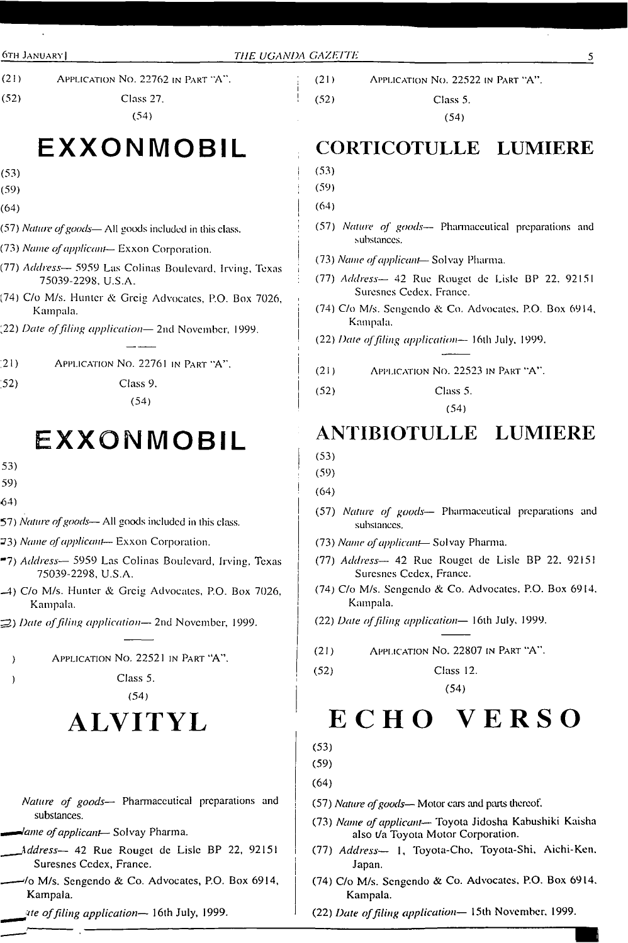- (21) Application No. 22762 in Part "A".
- (52) Class 27.
	- (54)

# **EXXONMOBIL**

- (53)
- (59)
- (64)
- (57) *Nature ofgoods—* All goods included in this class.
- (73) *Name ofapplicant* Exxon Corporation.
- (77) *Address—* 5959 Las Colinas Boulevard, Irving, Texas 75039-2298, U.S.A.
- (74) C/o M/s. Hunter & Greig Advocates, P.O. Box 7026, Kampala.
- (22) *Date offding application—* 2nd November, 1999.
- ;21) Application No. 22761 in Part "A".
- *.52)* Class 9.
	- (54)

# **EXXONMOBIL**

- 53)
- 59)
- 64)
- 57) *Nature ofgoods—* All goods included in this class.
- 23) *Name ofapplicant—* Exxon Corporation.
- \*7) *Address—* 5959 Las Colinas Boulevard, Irving, Texas 75039-2298, U.S.A.
- -4) C/o M/s. Hunter & Greig Advocates, P.O. Box 7026, Kampala.
- 3) *Date offiling application—* 2nd November, 1999.
- ) Application No. 22521 in Part "A".
- ) Class 5.
	- (54)

# **ALVITYL**

- *Nature of goods—* Pharmaceutical preparations and substances.
- *- ^ame ofapplicant—* Solvay Pharma.
- *\_\_\_\_Xddress—* 42 Rue Rougct de Lisle BP 22, 92151 Suresncs Ccdex, France.
- ——'/o M/s. Sengendo & Co. Advocates, P.O. Box 6914, Kampala.
- *ute offiling application—* 16th July, 1999.

(21) Application No. 22522 in Part "A".

(52) Class 5.

(54)

# **CORTICOTULLE LUMIERE**

- (53)
- (59)
- $(64)$
- <sup>i</sup> (57) *Nature of goods—* Pharmaceutical preparations and substances.
- ! (73) *Name ofapplicant* Solvay Pharma.
- : (77) *Address—* 42 Rue Rougct de Lisle BP 22. 92151 Suresncs Cedex. France.
- (74) C/o M/s. Sengendo & Co. Advocates. P.O. Box 6914, Kampala.
- *(22) Date offding application—* 16th July. 1999.
- (21) Application No. 22523 in Part "A".
- (52) Class 5.
	- (54)

### **ANTIBIOTULLE LUMIERE**

- (53)
- (59)
- (64)
- (57) *Nature of goods—* Pharmaceutical preparations and substances.
- (73) *Name ofapplicant* Solvay Pharma.
- (77) *Address—* 42 Rue Rougct de Lisle BP 22. 92151 Suresncs Ccdex, France.
- (74) C/o M/s. Sengendo & Co. Advocates, P.O. Box 6914. Kampala.
- (22) *Date offding application—* <sup>1</sup>6th July, 1999.
- (21) Application No. 22807 in Part "A".

(52) Class 12.

(54)

# **ECHO VERSO**

(53)

(59)

- (64)
- (57) *Nature ofgoods—* Motor cars and pints thereof.
- (73) *Name ofapplicant* Toyota Jidosha Kabushiki Kaisha also Va Toyota Motor Corporation.
- (77) *Address—* 1, Toyota-Cho, Toyota-Shi, Aichi-Ken. Japan.
- (74) C/o M/s. Sengendo & Co. Advocates, P.O. Box 6914, Kampala.
- (22) *Date offding application—* 15th November. 1999.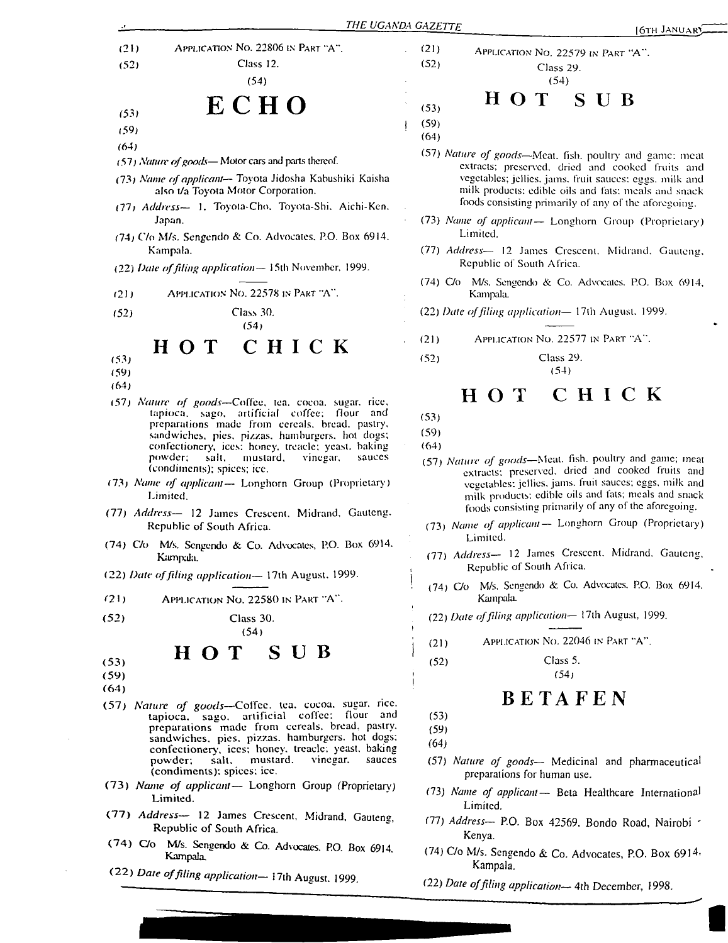Application No. 22806 in Part "A".  $(21)$ Class 12.  $(52)$ 

(54)

# ECHO

- (53) (59)
- (64)
- (57) *Namre ofgoods—* Motor cars and parts thereof.
- (73) *Name ofapplicant—* Toyota Jidosha Kabushiki Kaisha also t/a Toyota Motor Corporation.
- (77) *Address—* 1. Toyota-Cho. Toyota-Shi. Aichi-Ken. Japan.
- (74; C7o M/s. Sengendo & Co. Advocates. P.O. Box 6914. Kampala.
- (22) *Dale offiling application—* 15th November. 1999.
- Application No. 22578 in Part "A".  $(21)$
- - CHICK HOT

(54)

- (53)
- (59) (64)
- 
- (57) Nature of goods-Coffee, tea. cocoa. sugar, rice, tapioca, sago, artificial coffee; flour and preparations made from cereals, bread, pastry, sandwiches, pics, pizzas, hamburgers, hot dogs; confectionery, ices; honey, treacle; yeast, baking<br>powder; salt, mustard, vinegar, sauces powder; salt, mustard, vinegar. (condiments); spices; ice.
- *Name of applicant—* Longhorn Group (Proprietary) Limited.
- *Address—* 12 James Crescent. Midrand. Gauteng. (77) Republic of South Africa.
- (74) C/o M/s. Sengendo & Co. Advocates, P.O. Box 6914. Kampala.
- (22) *Date offiling application—* 17th August. 1999.
- $(21)$  Application No. 22580 in Part "A".
- $(52)$ Class 30. (54)

нот SUB

- (53) (59)
- (64)
- (57) Nature of goods-Coffee, tea. cocoa, sugar, rice, *Nature of goods*—Coffee, tea, cocoa, sugar, rice,<br>tapioca, sago, artificial coffee; flour and tapioca, sago, artificial coffee; flour preparations made from cereals, bread, pastry, sandwiches, pies, pizzas, hamburgers, hot dogs; confectionery, ices; honey, treacle; yeast, baking<br>powder; salt, mustard, vinegar, sauces mustard. (condiments): spices: ice. vinegar.
- (73) Name of applicant- Longhorn Group (Proprietary) Limited.
- (77) Address- 12 James Crescent, Midrand, Gauteng, Republic of South Africa.
- M/s. Sengendo & Co. Advocates. P.O. Box 6914. Kampala, (74)
- (22) *Date offiling application—* 17th August. 1999.

APPLICATION NO. 22579 IN PART "A". Class 29. (54)

 $(53)$   $\cdots$   $\cdots$   $\cdots$   $\cdots$   $\cdots$ 

(59)

(21) (52)

- (64)
- (57) *Nature of goods—*Meat. fish, poultry and game; meat extracts; preserved, dried and cooked fruits and vegetables; jellies, jams, fruit sauces; eggs, milk and milk products: edible oils and fats; meals and snack foods consisting primarily of any of the aforegoing.
- (73) *Name of applicant—* Longhorn Group (Proprietary) Limited.
- (77) *Address—* 12 James Crescent. Midrand. Gauteng, Republic of South Africa.
- (74) C/o M/s. Sengendo & Co. Advocates. P.O. Box 6914, Kampala.

(52) Class 30. (22) *Date offiling application—* 17th August. 1999.

- $(21)$ Application No. 22577 in Part "A".
- (52) Class 29.

#### CHICK нот

(53)

(59) (64)

- (57) *Nature of goods—*Meal. fish, poultry and game; meat extracts; preserved, dried and cooked fruits and vegetables: jellies, jams, fruit sauces; eggs, milk and milk products: edible oils and fats; meals and snack foods consisting primarily of any of the aforegoing.
- *Name of applicant—* Longhorn Group (Proprietary) (73) Limited.
- *Address—* 12 James Crescent. Midrand. Gauteng, (77) Republic of South Africa.
- (74)  $Co$  M/s. Sengendo & Co. Advocates. P.O. Box 6914. Kampala.

(22) *Date offiling application—* 17th August, 1999.

- (21) Application No. 22046 in Part "A".
- (52) Class 5. (54)

# BETAFEN

- (53) (59)
- 
- (64)
- (57) *Nature of goods—* Medicinal and pharmaceutical preparations for human use.
- (73) *Name of applicant—* Bela Healthcare International Limited.
- (77) *Address—* P.O. Box 42569. Bondo Road, Nairobi ' Kenya.
- (74) C/o M/s. Sengendo & Co. Advocates, P.O. Box 6914. Kampala.
- (22) *Date offiling application—* 4th December, 1998.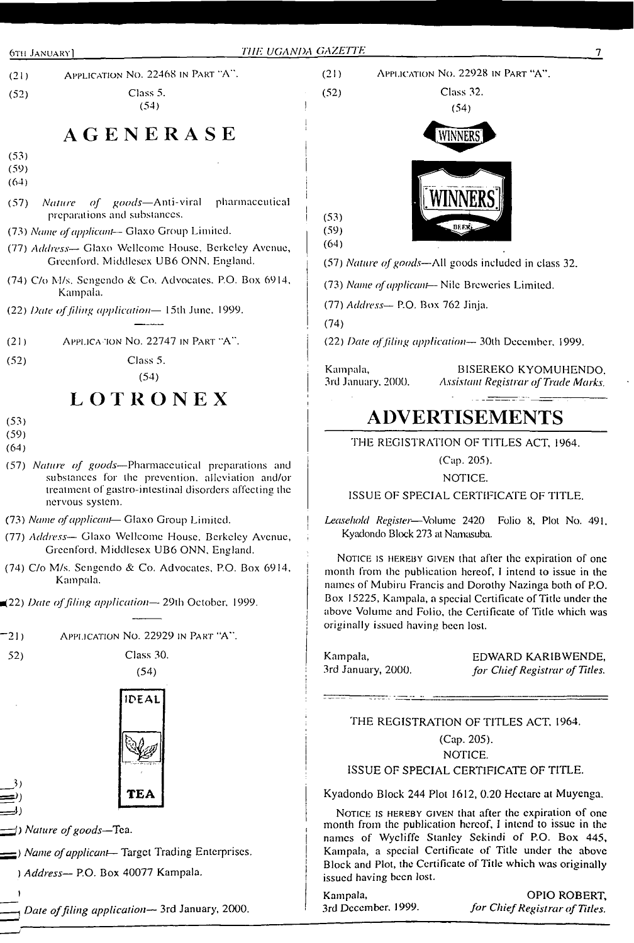

## **AGENERASE**

- (53) (59)
- $(64)$
- (57) *Nature of goods—*Anti-viral pharmaceutical preparations and substances. <sup>I</sup>
- (73) *Name ofapplicant—* Glaxo Group Limited.
- (77) *Address—* Glaxo Wellcome House, Berkeley Avenue, Greenford. Middlesex UB6 ONN, England.
- (74) C/o M/s. Sengendo & Co. Advocates. P.O. Box 6914, Kampala.
- (22) *Date offiling application—* 15th June, 1999.
- $(21)$  Application No. 22747 in Part "A".
- (52) Class 5.

 $(54)$ 

### **LOTRONEX**  $(53)$

- 
- (59)
- (64)
- (57) *Nature of goods—*Pharmaceutical preparations and substances for the prevention, alleviation and/or treatment of gastro-intestinal disorders affecting the nervous system.
- (73) *Name ofapplicant* Glaxo Group Limited. <sup>I</sup>
- (77) *Address—* Glaxo Wellcome House. Berkeley Avenue, Greenford, Middlesex UB6 ONN, England.
- (74) C/o M/s. Sengendo & Co. Advocates, P.O. Box 6914, Kampala.
- <22) *Date offiling application—* 29th October. 1999.
- "21) Application No. 22929 in Part "A".
- 52) Class 30.

*})*

I





*—<sup>D</sup> Nature ofgoods—*Tea.

*—-) Name ofapplicant—* Target Trading Enterprises.

*) Address—* P.O. Box 40077 Kampala.

*\_\_\_ \_Date offiling application—* 3rd January, 2000.



(77) *Address—* P.O. Box 762 Jinja.

(74)

(22) *Date offiling application—* 30th December. 1999.

Kampala, BISEREKO KYOMUHENDO, 3rd January, 2000. Assistant Registrar of Trade Marks. 3rd January. 2000. *Assistant Registrar ofTrade Marks.*

# **ADVERTISEMENTS**

THE REGISTRATION OF TITLES ACT, 1964.

(Cap. 205).

#### NOTICE.

ISSUE OF SPECIAL CERTIFICATE OF TITLE.

*Leasehold Register*—Volume 2420 Folio 8, Plot No. 491, Kyadondo Block 273 at Namasuba.

NOTICE IS HEREBY GIVEN that after the expiration of one month from the publication hereof, <sup>I</sup> intend to issue in the names of Mubiru Francis and Dorothy Nazinga both of P.O. Box 15225, Kampala, a special Certificate of Title under the above Volume and Folio, the Certificate of Title which was originally issued having been lost.

Kampala, EDWARD KARIBWENDE, 3rd January, 2000. *for ChiefRegistrar of Titles.*

### THE REGISTRATION OF TITLES ACT, 1964. (Cap. 205). NOTICE.

### ISSUE OF SPECIAL CERTIFICATE OF TITLE.

Kyadondo Block 244 Plot 1612, 0.20 Hectare at Muyenga.

NOTICE IS HEREBY GIVEN that after the expiration of one month from the publication hereof, I intend to issue in the names of Wycliffe Stanley Sekindi of P.O. Box 445, Kampala, a special Certificate of Title under the above Block and Plot, the Certificate of Title which was originally issued having been lost.

Kampala, OPIO ROBERT, 3rd December, 1999. *for ChiefRegistrar ofTitles.*